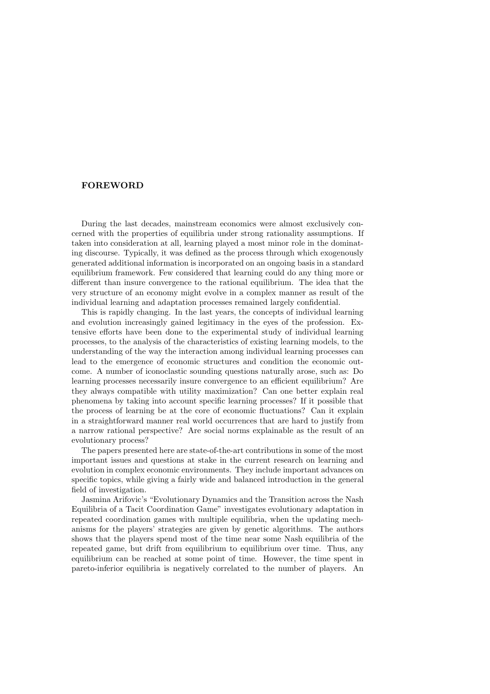## **FOREWORD**

During the last decades, mainstream economics were almost exclusively concerned with the properties of equilibria under strong rationality assumptions. If taken into consideration at all, learning played a most minor role in the dominating discourse. Typically, it was defined as the process through which exogenously generated additional information is incorporated on an ongoing basis in a standard equilibrium framework. Few considered that learning could do any thing more or different than insure convergence to the rational equilibrium. The idea that the very structure of an economy might evolve in a complex manner as result of the individual learning and adaptation processes remained largely confidential.

This is rapidly changing. In the last years, the concepts of individual learning and evolution increasingly gained legitimacy in the eyes of the profession. Extensive efforts have been done to the experimental study of individual learning processes, to the analysis of the characteristics of existing learning models, to the understanding of the way the interaction among individual learning processes can lead to the emergence of economic structures and condition the economic outcome. A number of iconoclastic sounding questions naturally arose, such as: Do learning processes necessarily insure convergence to an efficient equilibrium? Are they always compatible with utility maximization? Can one better explain real phenomena by taking into account specific learning processes? If it possible that the process of learning be at the core of economic fluctuations? Can it explain in a straightforward manner real world occurrences that are hard to justify from a narrow rational perspective? Are social norms explainable as the result of an evolutionary process?

The papers presented here are state-of-the-art contributions in some of the most important issues and questions at stake in the current research on learning and evolution in complex economic environments. They include important advances on specific topics, while giving a fairly wide and balanced introduction in the general field of investigation.

Jasmina Arifovic's "Evolutionary Dynamics and the Transition across the Nash Equilibria of a Tacit Coordination Game" investigates evolutionary adaptation in repeated coordination games with multiple equilibria, when the updating mechanisms for the players' strategies are given by genetic algorithms. The authors shows that the players spend most of the time near some Nash equilibria of the repeated game, but drift from equilibrium to equilibrium over time. Thus, any equilibrium can be reached at some point of time. However, the time spent in pareto-inferior equilibria is negatively correlated to the number of players. An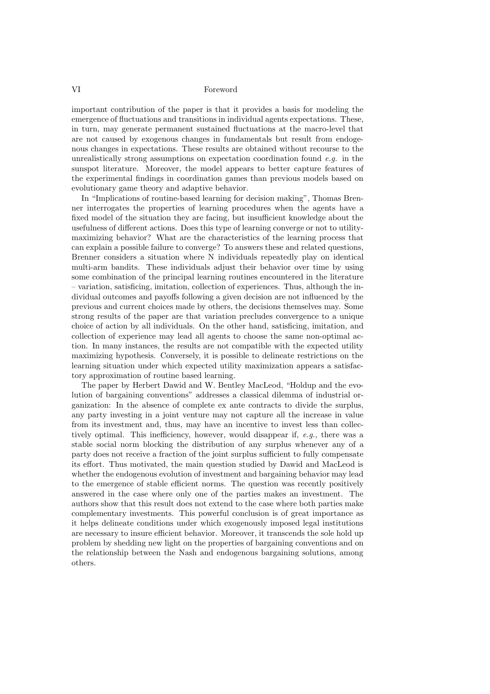## VI Foreword

important contribution of the paper is that it provides a basis for modeling the emergence of fluctuations and transitions in individual agents expectations. These, in turn, may generate permanent sustained fluctuations at the macro-level that are not caused by exogenous changes in fundamentals but result from endogenous changes in expectations. These results are obtained without recourse to the unrealistically strong assumptions on expectation coordination found  $e.g.$  in the sunspot literature. Moreover, the model appears to better capture features of the experimental findings in coordination games than previous models based on evolutionary game theory and adaptive behavior.

In "Implications of routine-based learning for decision making", Thomas Brenner interrogates the properties of learning procedures when the agents have a fixed model of the situation they are facing, but insufficient knowledge about the usefulness of different actions. Does this type of learning converge or not to utilitymaximizing behavior? What are the characteristics of the learning process that can explain a possible failure to converge? To answers these and related questions, Brenner considers a situation where N individuals repeatedly play on identical multi-arm bandits. These individuals adjust their behavior over time by using some combination of the principal learning routines encountered in the literature – variation, satisficing, imitation, collection of experiences. Thus, although the individual outcomes and payoffs following a given decision are not influenced by the previous and current choices made by others, the decisions themselves may. Some strong results of the paper are that variation precludes convergence to a unique choice of action by all individuals. On the other hand, satisficing, imitation, and collection of experience may lead all agents to choose the same non-optimal action. In many instances, the results are not compatible with the expected utility maximizing hypothesis. Conversely, it is possible to delineate restrictions on the learning situation under which expected utility maximization appears a satisfactory approximation of routine based learning.

The paper by Herbert Dawid and W. Bentley MacLeod, "Holdup and the evolution of bargaining conventions" addresses a classical dilemma of industrial organization: In the absence of complete ex ante contracts to divide the surplus, any party investing in a joint venture may not capture all the increase in value from its investment and, thus, may have an incentive to invest less than collectively optimal. This inefficiency, however, would disappear if, e.g., there was a stable social norm blocking the distribution of any surplus whenever any of a party does not receive a fraction of the joint surplus sufficient to fully compensate its effort. Thus motivated, the main question studied by Dawid and MacLeod is whether the endogenous evolution of investment and bargaining behavior may lead to the emergence of stable efficient norms. The question was recently positively answered in the case where only one of the parties makes an investment. The authors show that this result does not extend to the case where both parties make complementary investments. This powerful conclusion is of great importance as it helps delineate conditions under which exogenously imposed legal institutions are necessary to insure efficient behavior. Moreover, it transcends the sole hold up problem by shedding new light on the properties of bargaining conventions and on the relationship between the Nash and endogenous bargaining solutions, among others.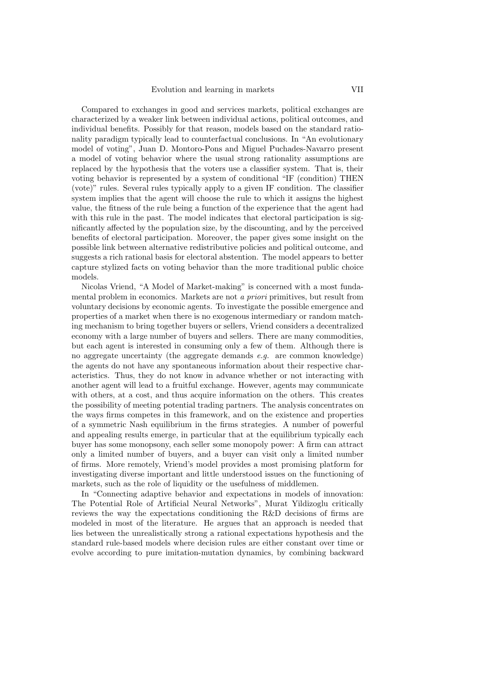Compared to exchanges in good and services markets, political exchanges are characterized by a weaker link between individual actions, political outcomes, and individual benefits. Possibly for that reason, models based on the standard rationality paradigm typically lead to counterfactual conclusions. In "An evolutionary model of voting", Juan D. Montoro-Pons and Miguel Puchades-Navarro present a model of voting behavior where the usual strong rationality assumptions are replaced by the hypothesis that the voters use a classifier system. That is, their voting behavior is represented by a system of conditional "IF (condition) THEN (vote)" rules. Several rules typically apply to a given IF condition. The classifier system implies that the agent will choose the rule to which it assigns the highest value, the fitness of the rule being a function of the experience that the agent had with this rule in the past. The model indicates that electoral participation is significantly affected by the population size, by the discounting, and by the perceived benefits of electoral participation. Moreover, the paper gives some insight on the possible link between alternative redistributive policies and political outcome, and suggests a rich rational basis for electoral abstention. The model appears to better capture stylized facts on voting behavior than the more traditional public choice models.

Nicolas Vriend, "A Model of Market-making" is concerned with a most fundamental problem in economics. Markets are not a priori primitives, but result from voluntary decisions by economic agents. To investigate the possible emergence and properties of a market when there is no exogenous intermediary or random matching mechanism to bring together buyers or sellers, Vriend considers a decentralized economy with a large number of buyers and sellers. There are many commodities, but each agent is interested in consuming only a few of them. Although there is no aggregate uncertainty (the aggregate demands  $e.g.$  are common knowledge) the agents do not have any spontaneous information about their respective characteristics. Thus, they do not know in advance whether or not interacting with another agent will lead to a fruitful exchange. However, agents may communicate with others, at a cost, and thus acquire information on the others. This creates the possibility of meeting potential trading partners. The analysis concentrates on the ways firms competes in this framework, and on the existence and properties of a symmetric Nash equilibrium in the firms strategies. A number of powerful and appealing results emerge, in particular that at the equilibrium typically each buyer has some monopsony, each seller some monopoly power: A firm can attract only a limited number of buyers, and a buyer can visit only a limited number of firms. More remotely, Vriend's model provides a most promising platform for investigating diverse important and little understood issues on the functioning of markets, such as the role of liquidity or the usefulness of middlemen.

In "Connecting adaptive behavior and expectations in models of innovation: The Potential Role of Artificial Neural Networks", Murat Yildizoglu critically reviews the way the expectations conditioning the R&D decisions of firms are modeled in most of the literature. He argues that an approach is needed that lies between the unrealistically strong a rational expectations hypothesis and the standard rule-based models where decision rules are either constant over time or evolve according to pure imitation-mutation dynamics, by combining backward